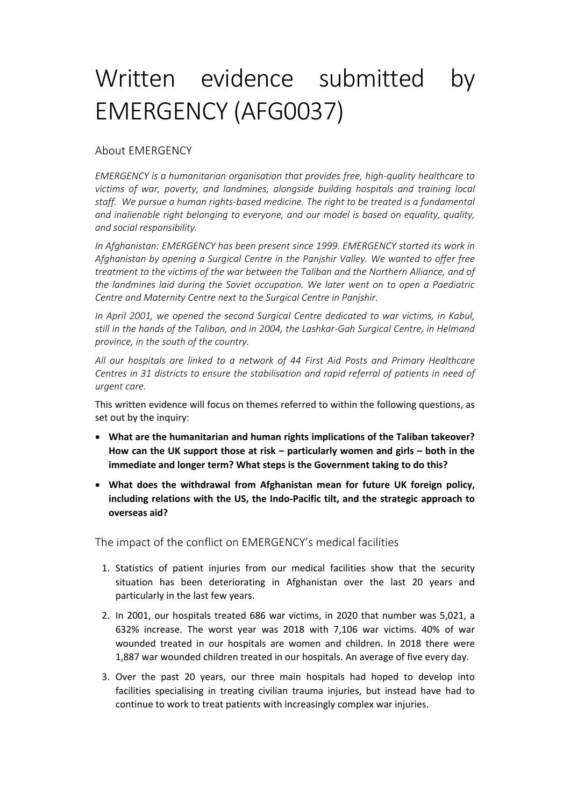## Written evidence submitted by EMERGENCY (AFG0037)

## About EMERGENCY

*EMERGENCY is a humanitarian organisation that provides free, high-quality healthcare to victims of war, poverty, and landmines, alongside building hospitals and training local staff. We pursue a human rights-based medicine. The right to be treated is a fundamental and inalienable right belonging to everyone, and our model is based on equality, quality, and social responsibility.*

*In Afghanistan: EMERGENCY has been present since 1999. EMERGENCY started its work in Afghanistan by opening a Surgical Centre in the Panjshir Valley. We wanted to offer free treatment to the victims of the war between the Taliban and the Northern Alliance, and of the landmines laid during the Soviet occupation. We later went on to open a Paediatric Centre and Maternity Centre next to the Surgical Centre in Panjshir.*

*In April 2001, we opened the second Surgical Centre dedicated to war victims, in Kabul, still in the hands of the Taliban, and in 2004, the Lashkar-Gah Surgical Centre, in Helmand province, in the south of the country.*

*All our hospitals are linked to a network of 44 First Aid Posts and Primary Healthcare Centres in 31 districts to ensure the stabilisation and rapid referral of patients in need of urgent care.*

This written evidence will focus on themes referred to within the following questions, as set out by the inquiry:

- **What are the humanitarian and human rights implications of the Taliban takeover? How can the UK support those at risk – particularly women and girls – both in the immediate and longer term? What steps is the Government taking to do this?**
- **What does the withdrawal from Afghanistan mean for future UK foreign policy, including relations with the US, the Indo-Pacific tilt, and the strategic approach to overseas aid?**

The impact of the conflict on EMERGENCY's medical facilities

- 1. Statistics of patient injuries from our medical facilities show that the security situation has been deteriorating in Afghanistan over the last 20 years and particularly in the last few years.
- 2. In 2001, our hospitals treated 686 war victims, in 2020 that number was 5,021, a 632% increase. The worst year was 2018 with 7,106 war victims. 40% of war wounded treated in our hospitals are women and children. In 2018 there were 1,887 war wounded children treated in our hospitals. An average of five every day.
- 3. Over the past 20 years, our three main hospitals had hoped to develop into facilities specialising in treating civilian trauma injuries, but instead have had to continue to work to treat patients with increasingly complex war injuries.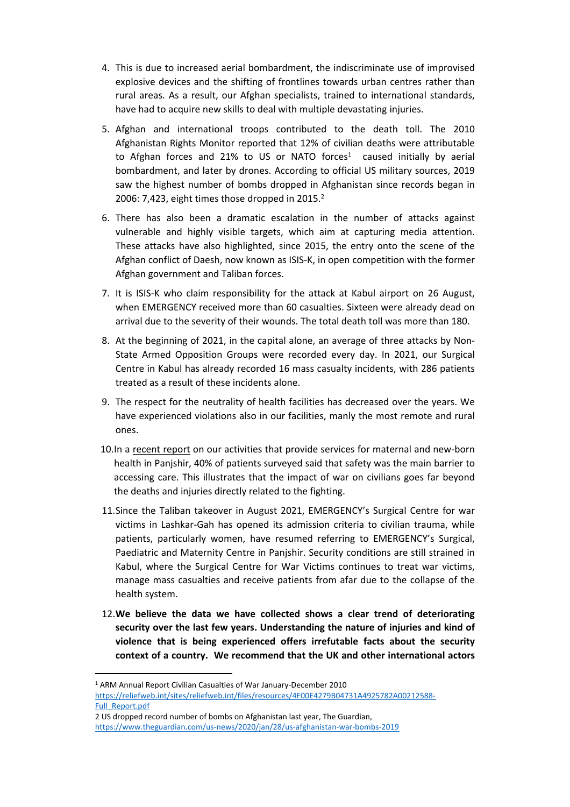- 4. This is due to increased aerial bombardment, the indiscriminate use of improvised explosive devices and the shifting of frontlines towards urban centres rather than rural areas. As a result, our Afghan specialists, trained to international standards, have had to acquire new skills to deal with multiple devastating injuries.
- 5. Afghan and international troops contributed to the death toll. The 2010 Afghanistan Rights Monitor reported that 12% of civilian deaths were attributable to Afghan forces and 21% to US or NATO forces<sup>1</sup> caused initially by aerial bombardment, and later by drones. According to official US military sources, 2019 saw the highest number of bombs dropped in Afghanistan since records began in 2006: 7,423, eight times those dropped in  $2015.<sup>2</sup>$
- 6. There has also been a dramatic escalation in the number of attacks against vulnerable and highly visible targets, which aim at capturing media attention. These attacks have also highlighted, since 2015, the entry onto the scene of the Afghan conflict of Daesh, now known as ISIS-K, in open competition with the former Afghan government and Taliban forces.
- 7. It is ISIS-K who claim responsibility for the attack at Kabul airport on 26 August, when EMERGENCY received more than 60 casualties. Sixteen were already dead on arrival due to the severity of their wounds. The total death toll was more than 180.
- 8. At the beginning of 2021, in the capital alone, an average of three attacks by Non-State Armed Opposition Groups were recorded every day. In 2021, our Surgical Centre in Kabul has already recorded 16 mass casualty incidents, with 286 patients treated as a result of these incidents alone.
- 9. The respect for the neutrality of health facilities has decreased over the years. We have experienced violations also in our facilities, manly the most remote and rural ones.
- 10.In a [recent](https://aquietrevolution.emergency.it/#/introduction) [report](https://aquietrevolution.emergency.it/#/introduction) on our activities that provide services for maternal and new-born health in Panjshir, 40% of patients surveyed said that safety was the main barrier to accessing care. This illustrates that the impact of war on civilians goes far beyond the deaths and injuries directly related to the fighting.
- 11.Since the Taliban takeover in August 2021, EMERGENCY's Surgical Centre for war victims in Lashkar-Gah has opened its admission criteria to civilian trauma, while patients, particularly women, have resumed referring to EMERGENCY's Surgical, Paediatric and Maternity Centre in Panjshir. Security conditions are still strained in Kabul, where the Surgical Centre for War Victims continues to treat war victims, manage mass casualties and receive patients from afar due to the collapse of the health system.
- 12.**We believe the data we have collected shows a clear trend of deteriorating security over the last few years. Understanding the nature of injuries and kind of violence that is being experienced offers irrefutable facts about the security context of a country. We recommend that the UK and other international actors**

<sup>1</sup> ARM Annual Report Civilian Casualties of War January-December 2010 [https://reliefweb.int/sites/reliefweb.int/files/resources/4F00E4279B04731A4925782A00212588-](https://reliefweb.int/sites/reliefweb.int/files/resources/4F00E4279B04731A4925782A00212588-Full_Report.pdf) [Full\\_Report.pdf](https://reliefweb.int/sites/reliefweb.int/files/resources/4F00E4279B04731A4925782A00212588-Full_Report.pdf)

<sup>2</sup> US dropped record number of bombs on Afghanistan last year, The Guardian, <https://www.theguardian.com/us-news/2020/jan/28/us-afghanistan-war-bombs-2019>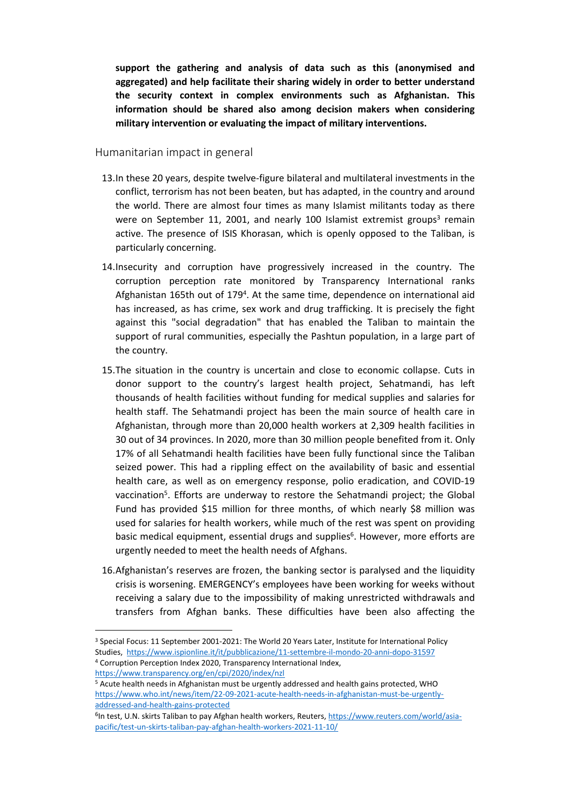**support the gathering and analysis of data such as this (anonymised and aggregated) and help facilitate their sharing widely in order to better understand the security context in complex environments such as Afghanistan. This information should be shared also among decision makers when considering military intervention or evaluating the impact of military interventions.**

## Humanitarian impact in general

- 13.In these 20 years, despite twelve-figure bilateral and multilateral investments in the conflict, terrorism has not been beaten, but has adapted, in the country and around the world. There are almost four times as many Islamist militants today as there were on September 11, 2001, and nearly 100 Islamist extremist groups<sup>3</sup> remain active. The presence of ISIS Khorasan, which is openly opposed to the Taliban, is particularly concerning.
- 14.Insecurity and corruption have progressively increased in the country. The corruption perception rate monitored by Transparency International ranks Afghanistan 165th out of 179<sup>4</sup>. At the same time, dependence on international aid has increased, as has crime, sex work and drug trafficking. It is precisely the fight against this "social degradation" that has enabled the Taliban to maintain the support of rural communities, especially the Pashtun population, in a large part of the country.
- 15.The situation in the country is uncertain and close to economic collapse. Cuts in donor support to the country's largest health project, Sehatmandi, has left thousands of health facilities without funding for medical supplies and salaries for health staff. The Sehatmandi project has been the main source of health care in Afghanistan, through more than 20,000 health workers at 2,309 health facilities in 30 out of 34 provinces. In 2020, more than 30 million people benefited from it. Only 17% of all Sehatmandi health facilities have been fully functional since the Taliban seized power. This had a rippling effect on the availability of basic and essential health care, as well as on emergency response, polio eradication, and COVID-19 vaccination<sup>5</sup>. Efforts are underway to restore the Sehatmandi project; the Global Fund has provided \$15 million for three months, of which nearly \$8 million was used for salaries for health workers, while much of the rest was spent on providing basic medical equipment, essential drugs and supplies<sup>6</sup>. However, more efforts are urgently needed to meet the health needs of Afghans.
- 16.Afghanistan's reserves are frozen, the banking sector is paralysed and the liquidity crisis is worsening. EMERGENCY's employees have been working for weeks without receiving a salary due to the impossibility of making unrestricted withdrawals and transfers from Afghan banks. These difficulties have been also affecting the

<https://www.transparency.org/en/cpi/2020/index/nzl>

<sup>&</sup>lt;sup>3</sup> Special Focus: 11 September 2001-2021: The World 20 Years Later, Institute for International Policy Studies, <https://www.ispionline.it/it/pubblicazione/11-settembre-il-mondo-20-anni-dopo-31597> <sup>4</sup> Corruption Perception Index 2020, Transparency International Index,

<sup>&</sup>lt;sup>5</sup> Acute health needs in Afghanistan must be urgently addressed and health gains protected, WHO [https://www.who.int/news/item/22-09-2021-acute-health-needs-in-afghanistan-must-be-urgently](https://www.who.int/news/item/22-09-2021-acute-health-needs-in-afghanistan-must-be-urgently-addressed-and-health-gains-protected)[addressed-and-health-gains-protected](https://www.who.int/news/item/22-09-2021-acute-health-needs-in-afghanistan-must-be-urgently-addressed-and-health-gains-protected)

<sup>&</sup>lt;sup>6</sup>In test, U.N. skirts Taliban to pay Afghan health workers, Reuters, [https://www.reuters.com/world/asia](https://www.reuters.com/world/asia-pacific/test-un-skirts-taliban-pay-afghan-health-workers-2021-11-10/)[pacific/test-un-skirts-taliban-pay-afghan-health-workers-2021-11-10/](https://www.reuters.com/world/asia-pacific/test-un-skirts-taliban-pay-afghan-health-workers-2021-11-10/)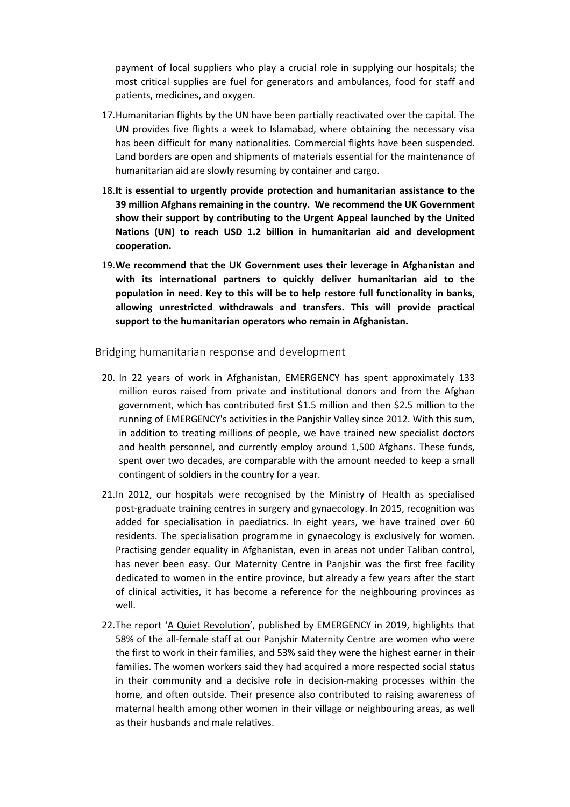payment of local suppliers who play a crucial role in supplying our hospitals; the most critical supplies are fuel for generators and ambulances, food for staff and patients, medicines, and oxygen.

- 17.Humanitarian flights by the UN have been partially reactivated over the capital. The UN provides five flights a week to Islamabad, where obtaining the necessary visa has been difficult for many nationalities. Commercial flights have been suspended. Land borders are open and shipments of materials essential for the maintenance of humanitarian aid are slowly resuming by container and cargo.
- 18.**It is essential to urgently provide protection and humanitarian assistance to the 39 million Afghans remaining in the country. We recommend the UK Government show their support by contributing to the Urgent Appeal launched by the United Nations (UN) to reach USD 1.2 billion in humanitarian aid and development cooperation.**
- 19.**We recommend that the UK Government uses their leverage in Afghanistan and with its international partners to quickly deliver humanitarian aid to the population in need. Key to this will be to help restore full functionality in banks, allowing unrestricted withdrawals and transfers. This will provide practical support to the humanitarian operators who remain in Afghanistan.**

Bridging humanitarian response and development

- 20. In 22 years of work in Afghanistan, EMERGENCY has spent approximately 133 million euros raised from private and institutional donors and from the Afghan government, which has contributed first \$1.5 million and then \$2.5 million to the running of EMERGENCY's activities in the Panjshir Valley since 2012. With this sum, in addition to treating millions of people, we have trained new specialist doctors and health personnel, and currently employ around 1,500 Afghans. These funds, spent over two decades, are comparable with the amount needed to keep a small contingent of soldiers in the country for a year.
- 21.In 2012, our hospitals were recognised by the Ministry of Health as specialised post-graduate training centres in surgery and gynaecology. In 2015, recognition was added for specialisation in paediatrics. In eight years, we have trained over 60 residents. The specialisation programme in gynaecology is exclusively for women. Practising gender equality in Afghanistan, even in areas not under Taliban control, has never been easy. Our Maternity Centre in Panjshir was the first free facility dedicated to women in the entire province, but already a few years after the start of clinical activities, it has become a reference for the neighbouring provinces as well.
- 22.The report '[A](https://aquietrevolution.emergency.it/#/introduction) [Quiet](https://aquietrevolution.emergency.it/#/introduction) [Revolution'](https://aquietrevolution.emergency.it/#/introduction), published by EMERGENCY in 2019, highlights that 58% of the all-female staff at our Panjshir Maternity Centre are women who were the first to work in their families, and 53% said they were the highest earner in their families. The women workers said they had acquired a more respected social status in their community and a decisive role in decision-making processes within the home, and often outside. Their presence also contributed to raising awareness of maternal health among other women in their village or neighbouring areas, as well as their husbands and male relatives.